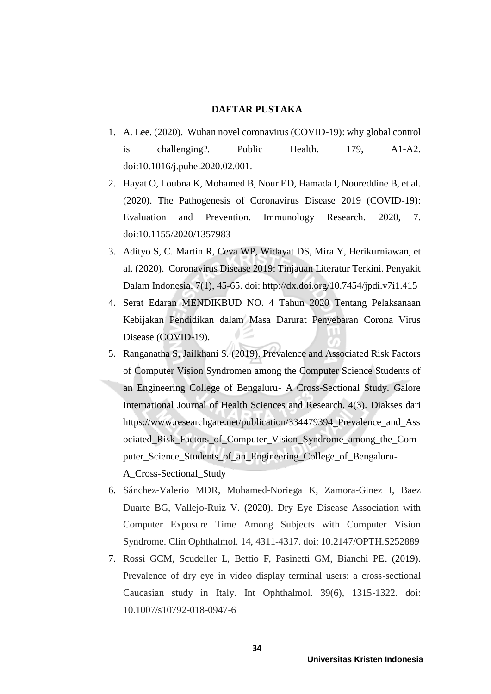## **DAFTAR PUSTAKA**

- 1. A. Lee. (2020). Wuhan novel coronavirus (COVID-19): why global control is challenging?. Public Health. 179, A1-A2. doi:10.1016/j.puhe.2020.02.001.
- 2. Hayat O, Loubna K, Mohamed B, Nour ED, Hamada I, Noureddine B, et al. (2020). The Pathogenesis of Coronavirus Disease 2019 (COVID-19): Evaluation and Prevention. Immunology Research. 2020, 7. doi:10.1155/2020/1357983
- 3. Adityo S, C. Martin R, Ceva WP, Widayat DS, Mira Y, Herikurniawan, et al. (2020). Coronavirus Disease 2019: Tinjauan Literatur Terkini. Penyakit Dalam Indonesia. 7(1), 45-65. doi: http://dx.doi.org/10.7454/jpdi.v7i1.415
- 4. Serat Edaran MENDIKBUD NO. 4 Tahun 2020 Tentang Pelaksanaan Kebijakan Pendidikan dalam Masa Darurat Penyebaran Corona Virus Disease (COVID-19).
- 5. Ranganatha S, Jailkhani S. (2019). Prevalence and Associated Risk Factors of Computer Vision Syndromen among the Computer Science Students of an Engineering College of Bengaluru- A Cross-Sectional Study. Galore International Journal of Health Sciences and Research. 4(3). Diakses dari https://www.researchgate.net/publication/334479394 Prevalence and Ass ociated\_Risk\_Factors\_of\_Computer\_Vision\_Syndrome\_among\_the\_Com puter Science Students of an Engineering College of Bengaluru-A\_Cross-Sectional\_Study
- 6. Sánchez-Valerio MDR, Mohamed-Noriega K, Zamora-Ginez I, Baez Duarte BG, Vallejo-Ruiz V. (2020). Dry Eye Disease Association with Computer Exposure Time Among Subjects with Computer Vision Syndrome. Clin Ophthalmol. 14, 4311-4317. doi: 10.2147/OPTH.S252889
- 7. Rossi GCM, Scudeller L, Bettio F, Pasinetti GM, Bianchi PE. (2019). Prevalence of dry eye in video display terminal users: a cross-sectional Caucasian study in Italy. Int Ophthalmol. 39(6), 1315-1322. doi: 10.1007/s10792-018-0947-6